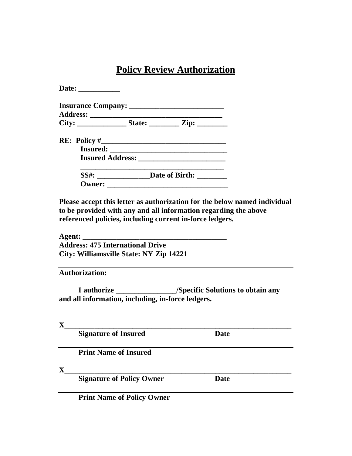## **Policy Review Authorization**

| <b>Insurance Company: _______________________________</b> |  |
|-----------------------------------------------------------|--|
| <b>Address: __________________________________</b>        |  |
| City: _________________State: __________ Zip: _________   |  |
|                                                           |  |
|                                                           |  |
|                                                           |  |
| $SS\#$ : $\qquad \qquad$ Date of Birth: $\qquad \qquad$   |  |

**Please accept this letter as authorization for the below named individual to be provided with any and all information regarding the above referenced policies, including current in-force ledgers.**

**Agent: \_\_\_\_\_\_\_\_\_\_\_\_\_\_\_\_\_\_\_\_\_\_\_\_\_\_\_\_\_\_\_\_\_\_\_\_\_\_ Address: 475 International Drive City: Williamsville State: NY Zip 14221**

**Authorization:**

**I authorize \_\_\_\_\_\_\_\_\_\_\_\_\_\_\_\_/Specific Solutions to obtain any and all information, including, in-force ledgers.**

**X\_\_\_\_\_\_\_\_\_\_\_\_\_\_\_\_\_\_\_\_\_\_\_\_\_\_\_\_\_\_\_\_\_\_\_\_\_\_\_\_\_\_\_\_\_\_\_\_\_\_\_\_\_\_\_\_\_\_\_\_ Signature** of Insured **Date Print Name of Insured X\_\_\_\_\_\_\_\_\_\_\_\_\_\_\_\_\_\_\_\_\_\_\_\_\_\_\_\_\_\_\_\_\_\_\_\_\_\_\_\_\_\_\_\_\_\_\_\_\_\_\_\_\_\_\_\_\_\_\_\_ Signature of Policy Owner Date**

**Print Name of Policy Owner**